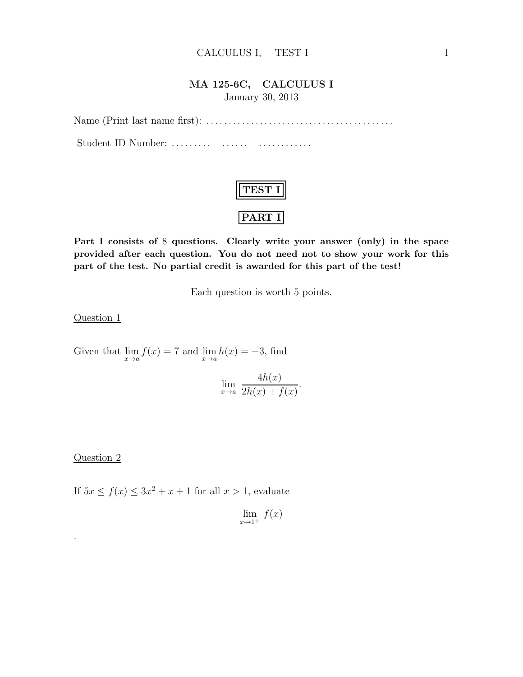#### CALCULUS I, TEST I 1

#### MA 125-6C, CALCULUS I

January 30, 2013

Name (Print last name first): . . . . . . . . . . . . . . . . . . . . . . . . . . . . . . . . . . . . . . . . . .

Student ID Number: . . . . . . . . . . . . . . . . . . . . . . . . . . .

| ا مع |
|------|

Part I consists of 8 questions. Clearly write your answer (only) in the space provided after each question. You do not need not to show your work for this part of the test. No partial credit is awarded for this part of the test!

Each question is worth 5 points.

Question 1

Given that  $\lim_{x\to a} f(x) = 7$  and  $\lim_{x\to a} h(x) = -3$ , find

$$
\lim_{x \to a} \frac{4h(x)}{2h(x) + f(x)}.
$$

#### Question 2

.

If  $5x \le f(x) \le 3x^2 + x + 1$  for all  $x > 1$ , evaluate

$$
\lim_{x \to 1^+} f(x)
$$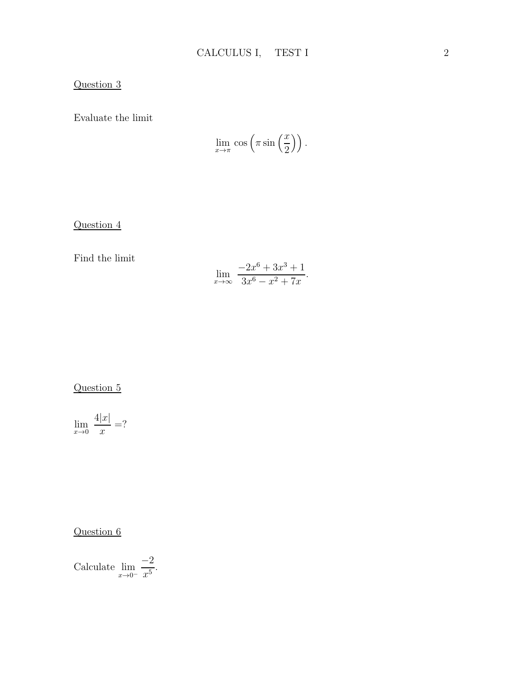### Question 3

Evaluate the limit

$$
\lim_{x \to \pi} \cos \left( \pi \sin \left( \frac{x}{2} \right) \right).
$$

Question 4

Find the limit

$$
\lim_{x \to \infty} \frac{-2x^6 + 3x^3 + 1}{3x^6 - x^2 + 7x}.
$$

Question 5

$$
\lim_{x \to 0} \frac{4|x|}{x} = ?
$$

Question 6

Calculate 
$$
\lim_{x \to 0^-} \frac{-2}{x^5}
$$
.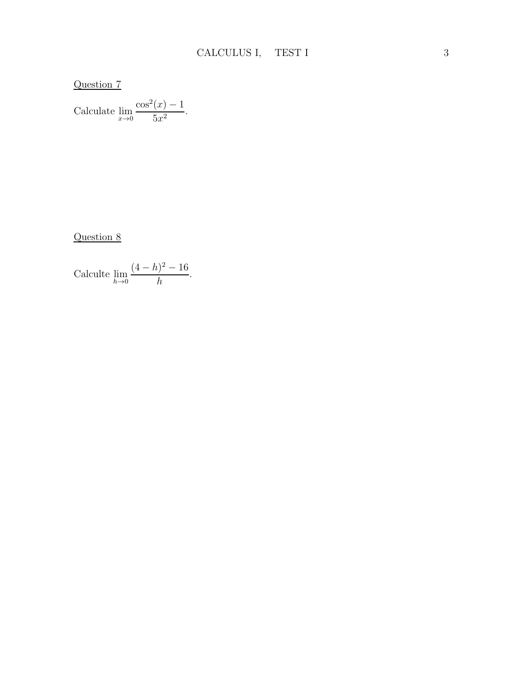Question 7

Calculate 
$$
\lim_{x \to 0} \frac{\cos^2(x) - 1}{5x^2}
$$
.

Question 8

Calculate 
$$
\lim_{h \to 0} \frac{(4-h)^2 - 16}{h}.
$$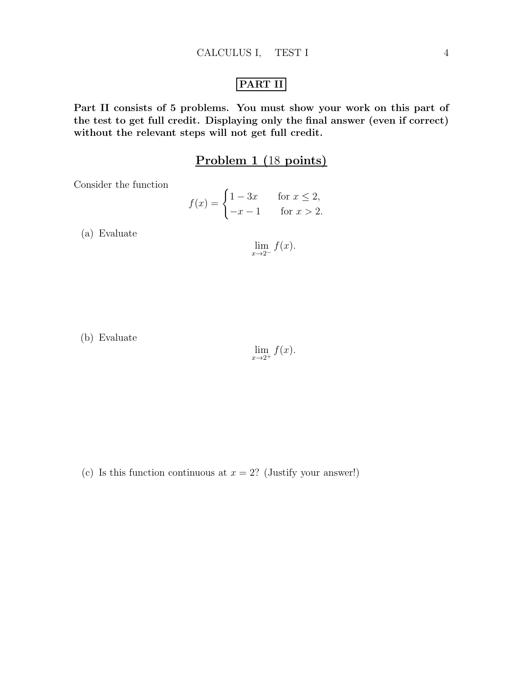## PART II

Part II consists of 5 problems. You must show your work on this part of the test to get full credit. Displaying only the final answer (even if correct) without the relevant steps will not get full credit.

### Problem 1 (18 points)

Consider the function

$$
f(x) = \begin{cases} 1 - 3x & \text{for } x \le 2, \\ -x - 1 & \text{for } x > 2. \end{cases}
$$

(a) Evaluate

$$
\lim_{x \to 2^{-}} f(x).
$$

(b) Evaluate

$$
\lim_{x \to 2^+} f(x).
$$

(c) Is this function continuous at  $x = 2$ ? (Justify your answer!)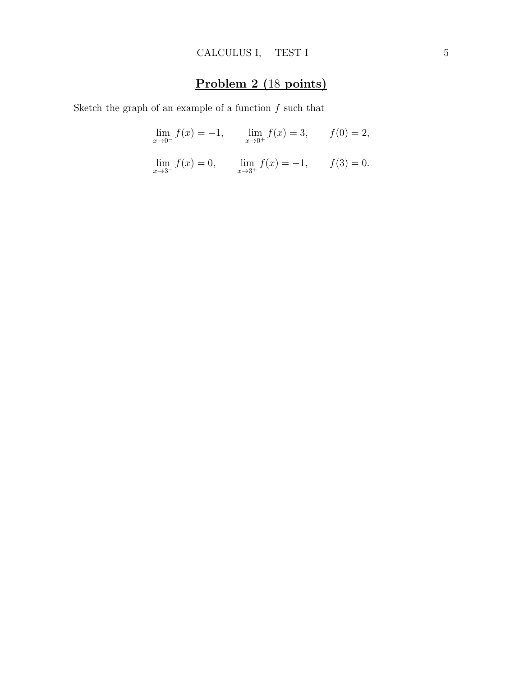## Problem 2 (18 points)

Sketch the graph of an example of a function  $f$  such that

$$
\lim_{x \to 0^{-}} f(x) = -1, \qquad \lim_{x \to 0^{+}} f(x) = 3, \qquad f(0) = 2,
$$
  

$$
\lim_{x \to 3^{-}} f(x) = 0, \qquad \lim_{x \to 3^{+}} f(x) = -1, \qquad f(3) = 0.
$$